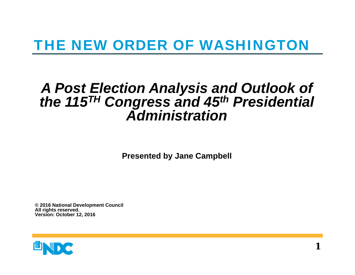### THE NEW ORDER OF WASHINGTON

### *A Post Election Analysis and Outlook of the 115TH Congress and 45th Presidential Administration*

**Presented by Jane Campbell**

**© 2016 National Development Council All rights reserved. Version: October 12, 2016**



**1**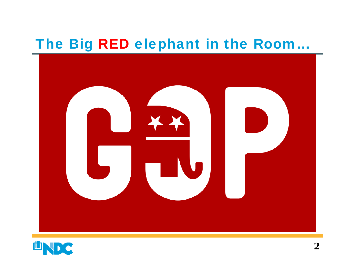### The Big RED elephant in the Room…



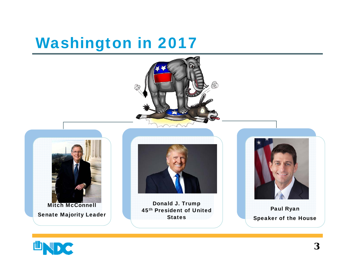## Washington in 2017



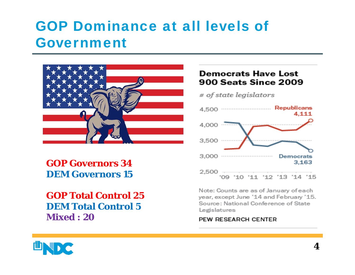### GOP Dominance at all levels of Government



**GOP Governors 34DEM Governors 15**

### **GOP Total Control 25DEM Total Control 5Mixed : 20**

#### **Democrats Have Lost 900 Seats Since 2009**

# of state legislators



Note: Counts are as of January of each year, except June '14 and February '15. Source: National Conference of State Legislatures

PEW RESEARCH CENTER

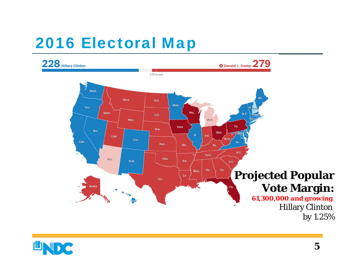## 2016 Electoral Map



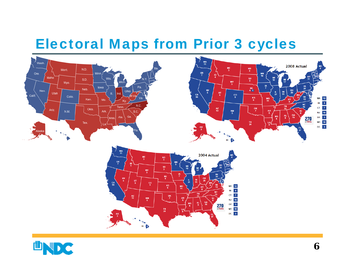### Electoral Maps from Prior 3 cycles





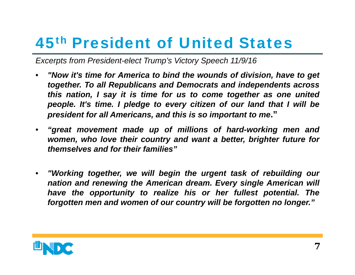## 45<sup>th</sup> President of United States

*Excerpts from President-elect Trump's Victory Speech 11/9/16*

- •"Now it's time for America to bind the wounds of division, have to get *together. To all Republicans and Democrats and independents across* this nation, I say it is time for us to come together as one united people. It's time. I pledge to every citizen of our land that I will be *president for all Americans, and this is so important to me***."**
- • *"great movement made up of millions of hard-working men and* women, who love their country and want a better, brighter future for *themselves and for their families"*
- $\bullet$  *"Working together, we will begin the urgent task of rebuilding our nation and renewing the American dream. Every single American will have the opportunity to realize his or her fullest potential. The* forgotten men and women of our country will be forgotten no longer."

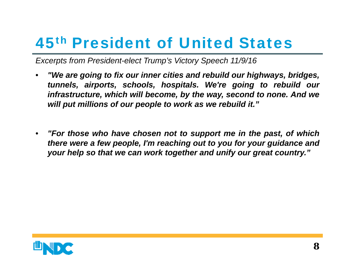## 45th President of United States

*Excerpts from President-elect Trump's Victory Speech 11/9/16*

- •"We are going to fix our inner cities and rebuild our highways, bridges, *tunnels, airports, schools, hospitals. We're going to rebuild our* infrastructure, which will become, by the way, second to none. And we *will put millions of our people to work as we rebuild it."*
- •"For those who have chosen not to support me in the past, of which there were a few people, I'm reaching out to you for your guidance and your help so that we can work together and unify our great country."

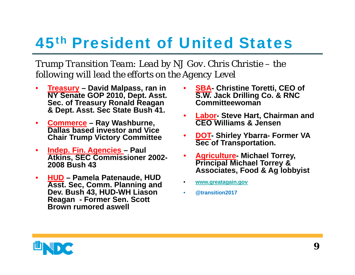### 45<sup>th</sup> President of United States

*Trump Transition Team: Lead by NJ Gov. Chris Christie – the following will lead the efforts on the Agency Level* 

- • **Treasury – David Malpass, ran in NY Senate GOP 2010, Dept. Asst. Sec. of Treasury Ronald Reagan & Dept. Asst. Sec State Bush 41.**
- $\bullet$  **Commerce – Ray Washburne, Dallas based investor and ViceChair Trump Victory Committee**
- $\bullet$  **Indep. Fin. Agencies – Paul Atkins, SEC Commissioner 2002- 2008 Bush 43**
- $\bullet$  **HUD – Pamela Patenaude, HUD Asst. Sec, Comm. Planning and Dev. Bush 43, HUD-WH Liason Reagan - Former Sen. Scott Brown rumored aswell**
- **SBA- Christine Toretti, CEO of S.W. Jack Drilling Co. & RNC Committeewoman**
- **Labor - Steve Hart, Chairman and CEO Williams & Jensen**
- • **DOT- Shirley Ybarra- Former VA Sec of Transportation.**
- • **Agriculture - Michael Torrey, Principal Michael Torrey & Associates, Food & Ag lobbyist**
- •**[www.greatagain.gov](https://www.greatagain.gov/)**
- •**@transition2017**

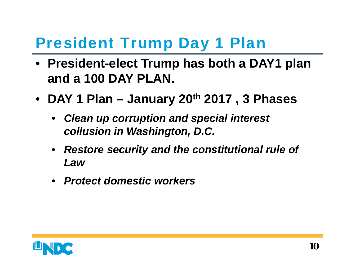# President Trump Day 1 Plan

- **President-elect Trump has both a DAY1 plan and a 100 DAY PLAN.**
- **DAY 1 Plan – January 20th 2017 , 3 Phases**
	- *Clean up corruption and special interest collusion in Washington, D.C.*
	- • *Restore security and the constitutional rule of Law*
	- *Protect domestic workers*

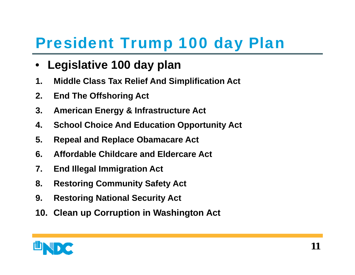# President Trump 100 day Plan

- **Legislative 100 day plan**
- **1. Middle Class Tax Relief And Simplification Act**
- **2. End The Offshoring Act**
- **3. American Energy & Infrastructure Act**
- **4. School Choice And Education Opportunity Act**
- **5. Repeal and Replace Obamacare Act**
- **6. Affordable Childcare and Eldercare Act**
- **7. End Illegal Immigration Act**
- **8. Restoring Community Safety Act**
- **9. Restoring National Security Act**
- **10. Clean up Corruption in Washington Act**

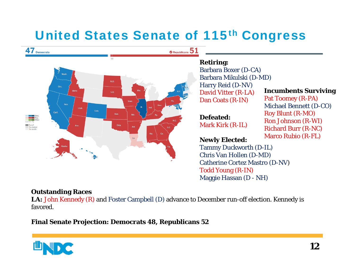### United States Senate of 115<sup>th</sup> Congress



#### **Retiring:**

Barbara Boxer (D-CA) Barbara Mikulski (D-MD) Harry Reid (D-NV) David Vitter (R-LA) Dan Coats (R-IN)

**Defeated:**Mark Kirk (R-IL)

**Newly Elected:**

Tammy Duckworth (D-IL) Chris Van Hollen (D-MD) Catherine Cortez Mastro (D-NV) Todd Young (R-IN) Maggie Hassan (D - NH)

#### **Incumbents Surviving**

Pat Toomey (R-PA) Michael Bennett (D-CO) Roy Blunt (R-MO) Ron Johnson (R-WI) Richard Burr (R-NC) Marco Rubio (R-FL)

#### **Outstanding Races**

LA: John Kennedy (R) and Foster Campbell (D) advance to December run-off election. Kennedy is favored.

**Final Senate Projection: Democrats 48, Republicans 52**

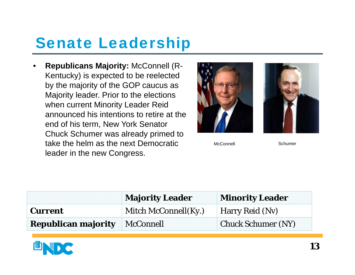## Senate Leadership

• **Republicans Majority:** McConnell (R-Kentucky) is expected to be reelected by the majority of the GOP caucus as Majority leader. Prior to the elections when current Minority Leader Reid announced his intentions to retire at the end of his term, New York Senator Chuck Schumer was already primed to take the helm as the next Democratic leader in the new Congress.





McConnell Schumer

|                                      | <b>Majority Leader</b> | <b>Minority Leader</b>    |
|--------------------------------------|------------------------|---------------------------|
| <b>Current</b>                       | Mitch McConnell(Ky.)   | Harry Reid (Nv)           |
| <b>Republican majority</b> McConnell |                        | <b>Chuck Schumer (NY)</b> |

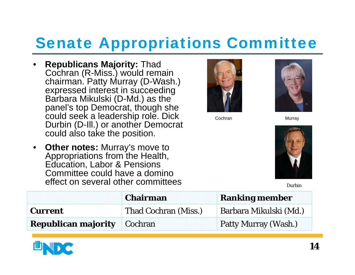## Senate Appropriations Committee

- • **Republicans Majority:** Thad Cochran (R-Miss.) would remain chairman. Patty Murray (D-Wash.) expressed interest in succeeding Barbara Mikulski (D-Md.) as the panel's top Democrat, though she could seek a leadership role. Dick Durbin (D-III.) or another Democrat could also take the position.
- **Other notes:** Murray's move to Appropriations from the Health, Education, Labor & Pensions Committee could have a domino effect on several other committees



Cochran Murray



Durbin

|                                    | <b>Chairman</b>      | <b>Ranking member</b>  |
|------------------------------------|----------------------|------------------------|
| <b>Current</b>                     | Thad Cochran (Miss.) | Barbara Mikulski (Md.) |
| <b>Republican majority</b> Cochran |                      | Patty Murray (Wash.)   |

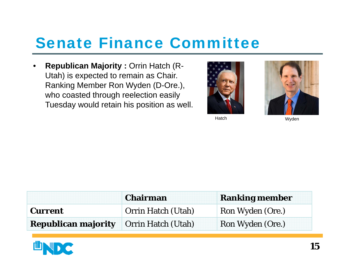### Senate Finance Committee

 $\bullet$ **Republican Majority : Orrin Hatch (R-**Utah) is expected to remain as Chair. Ranking Member Ron Wyden (D-Ore.), who coasted through reelection easily Tuesday would retain his position as well.





Hatch

Wyden

|                                               | <b>Chairman</b>    | <b>Ranking member</b> |
|-----------------------------------------------|--------------------|-----------------------|
| <b>Current</b>                                | Orrin Hatch (Utah) | Ron Wyden (Ore.)      |
| <b>Republican majority</b> Orrin Hatch (Utah) |                    | Ron Wyden (Ore.)      |

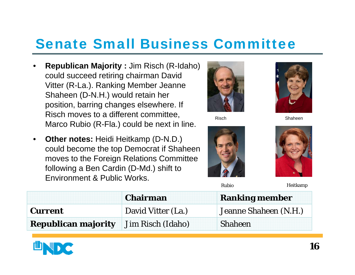### Senate Small Business Committee

- • **Republican Majority :** Jim Risch (R-Idaho) could succeed retiring chairman David Vitter (R-La.). Ranking Member Jeanne Shaheen (D-N.H.) would retain her position, barring changes elsewhere. If Risch moves to a different committee, Marco Rubio (R-Fla.) could be next in line.
- • **Other notes:** Heidi Heitkamp (D-N.D.) could become the top Democrat if Shaheen moves to the Foreign Relations Committee following a Ben Cardin (D-Md.) shift to Environment & Public Works.





Risch Shaheen



Rubio



Heitkamp

|                            | <b>Chairman</b>    | <b>Ranking member</b> |
|----------------------------|--------------------|-----------------------|
| <b>Current</b>             | David Vitter (La.) | Jeanne Shaheen (N.H.) |
| <b>Republican majority</b> | Jim Risch (Idaho)  | <b>Shaheen</b>        |

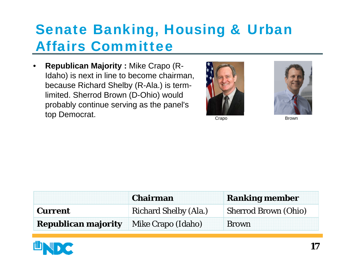### Senate Banking, Housing & Urban Affairs Committee

• **Republican Majority :** Mike Crapo (R-Idaho) is next in line to become chairman, because Richard Shelby (R-Ala.) is termlimited. Sherrod Brown (D-Ohio) would probably continue serving as the panel's top Democrat.





Crapo Brown

|                            | <b>Chairman</b>              | <b>Ranking member</b>       |
|----------------------------|------------------------------|-----------------------------|
| <b>Current</b>             | <b>Richard Shelby (Ala.)</b> | <b>Sherrod Brown (Ohio)</b> |
| <b>Republican majority</b> | <b>Mike Crapo (Idaho)</b>    | <b>Brown</b>                |

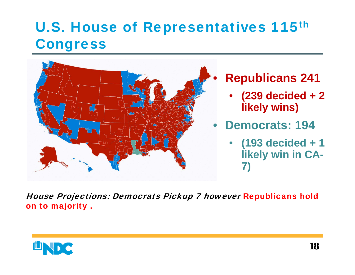### U.S. House of Representatives 115th **Congress**



House Projections: Democrats Pickup 7 however Republicans hold on to majority .

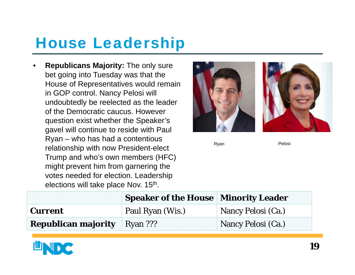## House Leadership

• **Republicans Majority:** The only sure bet going into Tuesday was that the House of Representatives would remain in GOP control. Nancy Pelosi will undoubtedly be reelected as the leader of the Democratic caucus. However question exist whether the Speaker's gavel will continue to reside with Paul Ryan – who has had a contentious relationship with now President-elect Trump and who's own members (HFC) might prevent him from garnering the votes needed for election. Leadership elections will take place Nov. 15th.



Ryan **Pelosi** 

|                                     | <b>Speaker of the House Minority Leader</b> |                    |
|-------------------------------------|---------------------------------------------|--------------------|
| <b>Current</b>                      | Paul Ryan (Wis.)                            | Nancy Pelosi (Ca.) |
| <b>Republican majority</b> Ryan ??? |                                             | Nancy Pelosi (Ca.) |

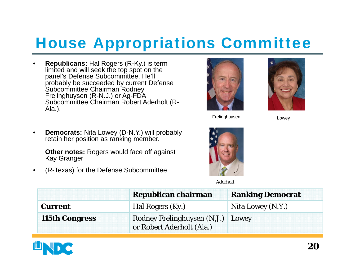## House Appropriations Committee

• **Republicans:** Hal Rogers (R-Ky.) is term limited and will seek the top spot on the panel's Defense Subcommittee. He'll probably be succeeded by current Defense Subcommittee Chairman Rodney Frelinghuysen (R-N.J.) or Ag-FDA Subcommittee Chairman Robert Aderholt (R-Ala.).





Frelinghuysen Lowey

 $\bullet$  **Democrats:** Nita Lowey (D-N.Y.) will probably retain her position as ranking member.

> **Other notes:** Rogers would face off against Kay Granger

•(R-Texas) for the Defense Subcommittee.



Aderholt

|                       | Republican chairman                                      | <b>Ranking Democrat</b> |
|-----------------------|----------------------------------------------------------|-------------------------|
| <b>Current</b>        | Hal Rogers (Ky.)                                         | Nita Lowey (N.Y.)       |
| <b>115th Congress</b> | Rodney Frelinghuysen (N.J.)<br>or Robert Aderholt (Ala.) | Lowey                   |

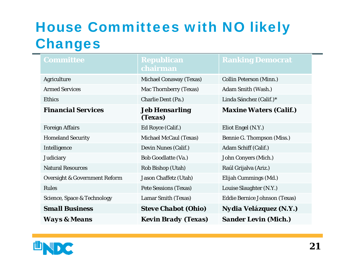### House Committees with NO likely Changes

| <b>Committee</b>                         | <b>Republican</b>              | <b>Ranking Democrat</b>        |
|------------------------------------------|--------------------------------|--------------------------------|
|                                          | chairman                       |                                |
| Agriculture                              | <b>Michael Conaway (Texas)</b> | <b>Collin Peterson (Minn.)</b> |
| <b>Armed Services</b>                    | Mac Thornberry (Texas)         | Adam Smith (Wash.)             |
| <b>Ethics</b>                            | <b>Charlie Dent (Pa.)</b>      | Linda Sánchez (Calif.)*        |
| <b>Financial Services</b>                | Jeb Hensarling<br>(Texas)      | <b>Maxine Waters (Calif.)</b>  |
| <b>Foreign Affairs</b>                   | Ed Royce (Calif.)              | Eliot Engel (N.Y.)             |
| <b>Homeland Security</b>                 | <b>Michael McCaul (Texas)</b>  | Bennie G. Thompson (Miss.)     |
| Intelligence                             | Devin Nunes (Calif.)           | Adam Schiff (Calif.)           |
| Judiciary                                | <b>Bob Goodlatte (Va.)</b>     | John Conyers (Mich.)           |
| <b>Natural Resources</b>                 | Rob Bishop (Utah)              | Raúl Grijalva (Ariz.)          |
| <b>Oversight &amp; Government Reform</b> | Jason Chaffetz (Utah)          | Elijah Cummings (Md.)          |
| <b>Rules</b>                             | <b>Pete Sessions (Texas)</b>   | Louise Slaughter (N.Y.)        |
| <b>Science, Space &amp; Technology</b>   | Lamar Smith (Texas)            | Eddie Bernice Johnson (Texas)  |
| <b>Small Business</b>                    | <b>Steve Chabot (Ohio)</b>     | <i>Nydia Velázquez (N.Y.)</i>  |
| <i><b>Ways &amp; Means</b></i>           | <b>Kevin Brady (Texas)</b>     | <b>Sander Levin (Mich.)</b>    |

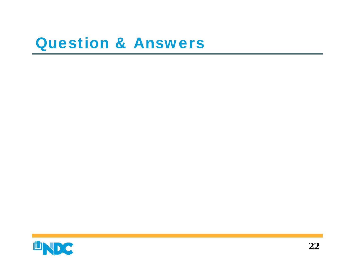### Question & Answers